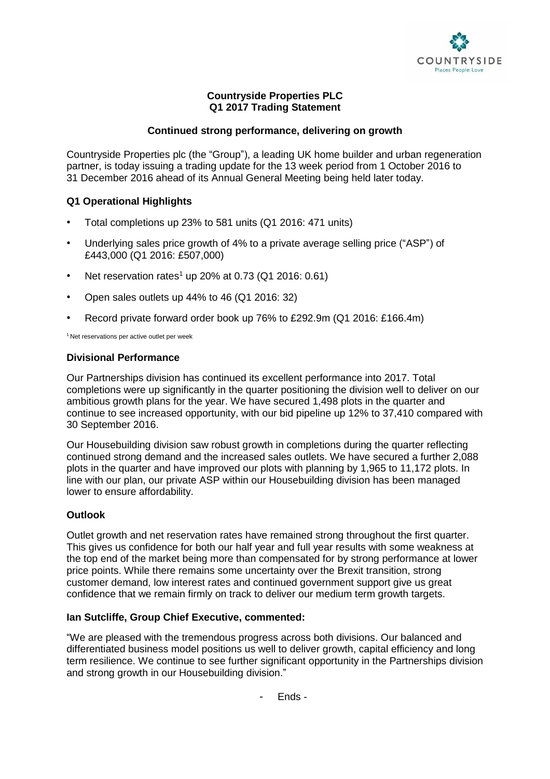

## **Countryside Properties PLC Q1 2017 Trading Statement**

## **Continued strong performance, delivering on growth**

Countryside Properties plc (the "Group"), a leading UK home builder and urban regeneration partner, is today issuing a trading update for the 13 week period from 1 October 2016 to 31 December 2016 ahead of its Annual General Meeting being held later today.

# **Q1 Operational Highlights**

- Total completions up 23% to 581 units (Q1 2016: 471 units)
- Underlying sales price growth of 4% to a private average selling price ("ASP") of £443,000 (Q1 2016: £507,000)
- Net reservation rates<sup>1</sup> up 20% at 0.73 (Q1 2016: 0.61)
- Open sales outlets up 44% to 46 (Q1 2016: 32)
- Record private forward order book up 76% to £292.9m (Q1 2016: £166.4m)

<sup>1</sup> Net reservations per active outlet per week

### **Divisional Performance**

Our Partnerships division has continued its excellent performance into 2017. Total completions were up significantly in the quarter positioning the division well to deliver on our ambitious growth plans for the year. We have secured 1,498 plots in the quarter and continue to see increased opportunity, with our bid pipeline up 12% to 37,410 compared with 30 September 2016.

Our Housebuilding division saw robust growth in completions during the quarter reflecting continued strong demand and the increased sales outlets. We have secured a further 2,088 plots in the quarter and have improved our plots with planning by 1,965 to 11,172 plots. In line with our plan, our private ASP within our Housebuilding division has been managed lower to ensure affordability.

## **Outlook**

Outlet growth and net reservation rates have remained strong throughout the first quarter. This gives us confidence for both our half year and full year results with some weakness at the top end of the market being more than compensated for by strong performance at lower price points. While there remains some uncertainty over the Brexit transition, strong customer demand, low interest rates and continued government support give us great confidence that we remain firmly on track to deliver our medium term growth targets.

## **Ian Sutcliffe, Group Chief Executive, commented:**

"We are pleased with the tremendous progress across both divisions. Our balanced and differentiated business model positions us well to deliver growth, capital efficiency and long term resilience. We continue to see further significant opportunity in the Partnerships division and strong growth in our Housebuilding division."

- Ends -